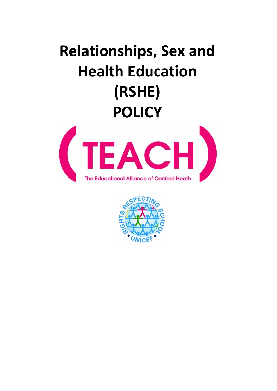# **Relationships, Sex and Health Education (RSHE) POLICY**



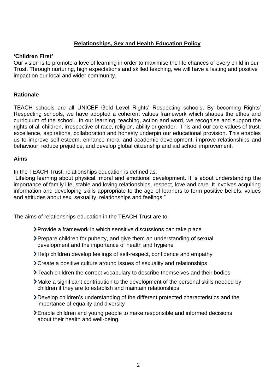## **Relationships, Sex and Health Education Policy**

#### **'Children First'**

Our vision is to promote a love of learning in order to maximise the life chances of every child in our Trust. Through nurturing, high expectations and skilled teaching, we will have a lasting and positive impact on our local and wider community.

#### **Rationale**

TEACH schools are all UNICEF Gold Level Rights' Respecting schools. By becoming Rights' Respecting schools, we have adopted a coherent values framework which shapes the ethos and curriculum of the school. In our learning, teaching, action and word, we recognise and support the rights of all children, irrespective of race, religion, ability or gender. This and our core values of trust, excellence, aspirations, collaboration and honesty underpin our educational provision. This enables us to improve self-esteem, enhance moral and academic development, improve relationships and behaviour, reduce prejudice, and develop global citizenship and aid school improvement.

#### **Aims**

In the TEACH Trust, relationships education is defined as;

"Lifelong learning about physical, moral and emotional development. It is about understanding the importance of family life, stable and loving relationships, respect, love and care. It involves acquiring information and developing skills appropriate to the age of learners to form positive beliefs, values and attitudes about sex, sexuality, relationships and feelings."

The aims of relationships education in the TEACH Trust are to:

- Provide a framework in which sensitive discussions can take place
- Prepare children for puberty, and give them an understanding of sexual development and the importance of health and hygiene
- Help children develop feelings of self-respect, confidence and empathy
- Create a positive culture around issues of sexuality and relationships
- Teach children the correct vocabulary to describe themselves and their bodies
- Make a significant contribution to the development of the personal skills needed by children if they are to establish and maintain relationships
- Develop children's understanding of the different protected characteristics and the importance of equality and diversity
- Enable children and young people to make responsible and informed decisions about their health and well-being.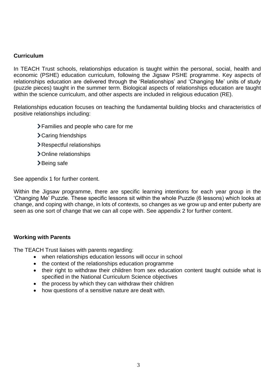# **Curriculum**

In TEACH Trust schools, relationships education is taught within the personal, social, health and economic (PSHE) education curriculum, following the Jigsaw PSHE programme. Key aspects of relationships education are delivered through the 'Relationships' and 'Changing Me' units of study (puzzle pieces) taught in the summer term. Biological aspects of relationships education are taught within the science curriculum, and other aspects are included in religious education (RE).

Relationships education focuses on teaching the fundamental building blocks and characteristics of positive relationships including:

- Families and people who care for me
- > Caring friendships
- Respectful relationships
- > Online relationships
- >Being safe

See appendix 1 for further content.

Within the Jigsaw programme, there are specific learning intentions for each year group in the 'Changing Me' Puzzle. These specific lessons sit within the whole Puzzle (6 lessons) which looks at change, and coping with change, in lots of contexts, so changes as we grow up and enter puberty are seen as one sort of change that we can all cope with. See appendix 2 for further content.

#### **Working with Parents**

The TEACH Trust liaises with parents regarding:

- when relationships education lessons will occur in school
- the context of the relationships education programme
- their right to withdraw their children from sex education content taught outside what is specified in the National Curriculum Science objectives
- the process by which they can withdraw their children
- how questions of a sensitive nature are dealt with.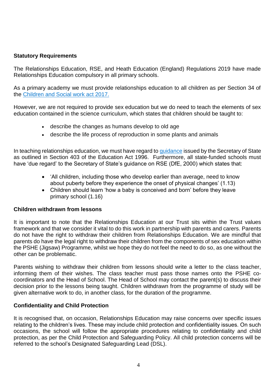## **Statutory Requirements**

The Relationships Education, RSE, and Heath Education (England) Regulations 2019 have made Relationships Education compulsory in all primary schools.

As a primary academy we must provide relationships education to all children as per Section 34 of the [Children and Social work act 2017.](http://www.legislation.gov.uk/ukpga/2017/16/section/34/enacted)

However, we are not required to provide sex education but we do need to teach the elements of sex education contained in the science curriculum, which states that children should be taught to:

- describe the changes as humans develop to old age
- describe the life process of reproduction in some plants and animals

In teaching relationships education, we must have regard to quidance issued by the Secretary of State as outlined in Section 403 of the Education Act 1996. Furthermore, all state-funded schools must have 'due regard' to the Secretary of State's guidance on RSE (DfE, 2000) which states that:

- 'All children, including those who develop earlier than average, need to know about puberty before they experience the onset of physical changes' (1.13)
- Children should learn 'how a baby is conceived and born' before they leave primary school (1.16)

#### **Children withdrawn from lessons**

It is important to note that the Relationships Education at our Trust sits within the Trust values framework and that we consider it vital to do this work in partnership with parents and carers. Parents do not have the right to withdraw their children from Relationships Education. We are mindful that parents do have the legal right to withdraw their children from the components of sex education within the PSHE (Jigsaw) Programme, whilst we hope they do not feel the need to do so, as one without the other can be problematic.

Parents wishing to withdraw their children from lessons should write a letter to the class teacher, informing them of their wishes. The class teacher must pass those names onto the PSHE cocoordinators and the Head of School. The Head of School may contact the parent(s) to discuss their decision prior to the lessons being taught. Children withdrawn from the programme of study will be given alternative work to do, in another class, for the duration of the programme.

#### **Confidentiality and Child Protection**

It is recognised that, on occasion, Relationships Education may raise concerns over specific issues relating to the children's lives. These may include child protection and confidentiality issues. On such occasions, the school will follow the appropriate procedures relating to confidentiality and child protection, as per the Child Protection and Safeguarding Policy. All child protection concerns will be referred to the school's Designated Safeguarding Lead (DSL).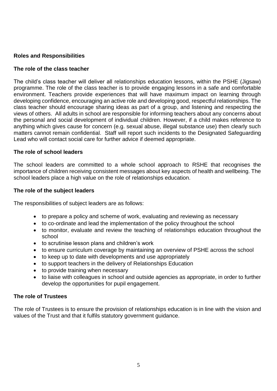#### **Roles and Responsibilities**

#### **The role of the class teacher**

The child's class teacher will deliver all relationships education lessons, within the PSHE (Jigsaw) programme. The role of the class teacher is to provide engaging lessons in a safe and comfortable environment. Teachers provide experiences that will have maximum impact on learning through developing confidence, encouraging an active role and developing good, respectful relationships. The class teacher should encourage sharing ideas as part of a group, and listening and respecting the views of others. All adults in school are responsible for informing teachers about any concerns about the personal and social development of individual children. However, if a child makes reference to anything which gives cause for concern (e.g. sexual abuse, illegal substance use) then clearly such matters cannot remain confidential. Staff will report such incidents to the Designated Safeguarding Lead who will contact social care for further advice if deemed appropriate.

#### **The role of school leaders**

The school leaders are committed to a whole school approach to RSHE that recognises the importance of children receiving consistent messages about key aspects of health and wellbeing. The school leaders place a high value on the role of relationships education.

#### **The role of the subject leaders**

The responsibilities of subject leaders are as follows:

- to prepare a policy and scheme of work, evaluating and reviewing as necessary
- to co-ordinate and lead the implementation of the policy throughout the school
- to monitor, evaluate and review the teaching of relationships education throughout the school
- to scrutinise lesson plans and children's work
- to ensure curriculum coverage by maintaining an overview of PSHE across the school
- to keep up to date with developments and use appropriately
- to support teachers in the delivery of Relationships Education
- to provide training when necessary
- to liaise with colleagues in school and outside agencies as appropriate, in order to further develop the opportunities for pupil engagement.

# **The role of Trustees**

The role of Trustees is to ensure the provision of relationships education is in line with the vision and values of the Trust and that it fulfils statutory government guidance.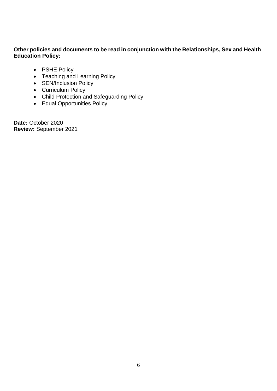## **Other policies and documents to be read in conjunction with the Relationships, Sex and Health Education Policy:**

- PSHE Policy
- Teaching and Learning Policy
- SEN/Inclusion Policy
- Curriculum Policy
- Child Protection and Safeguarding Policy
- Equal Opportunities Policy

**Date:** October 2020 **Review:** September 2021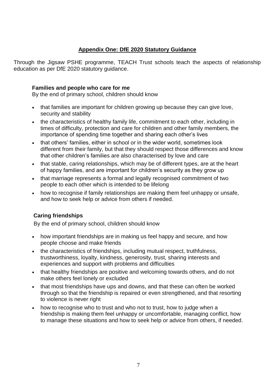## **Appendix One: DfE 2020 Statutory Guidance**

Through the Jigsaw PSHE programme, TEACH Trust schools teach the aspects of relationship education as per DfE 2020 statutory guidance.

#### **Families and people who care for me**

By the end of primary school, children should know

- that families are important for children growing up because they can give love, security and stability
- the characteristics of healthy family life, commitment to each other, including in times of difficulty, protection and care for children and other family members, the importance of spending time together and sharing each other's lives
- that others' families, either in school or in the wider world, sometimes look different from their family, but that they should respect those differences and know that other children's families are also characterised by love and care
- that stable, caring relationships, which may be of different types, are at the heart of happy families, and are important for children's security as they grow up
- that marriage represents a formal and legally recognised commitment of two people to each other which is intended to be lifelong
- how to recognise if family relationships are making them feel unhappy or unsafe, and how to seek help or advice from others if needed.

# **Caring friendships**

By the end of primary school, children should know

- how important friendships are in making us feel happy and secure, and how people choose and make friends
- the characteristics of friendships, including mutual respect, truthfulness, trustworthiness, loyalty, kindness, generosity, trust, sharing interests and experiences and support with problems and difficulties
- that healthy friendships are positive and welcoming towards others, and do not make others feel lonely or excluded
- that most friendships have ups and downs, and that these can often be worked through so that the friendship is repaired or even strengthened, and that resorting to violence is never right
- how to recognise who to trust and who not to trust, how to judge when a friendship is making them feel unhappy or uncomfortable, managing conflict, how to manage these situations and how to seek help or advice from others, if needed.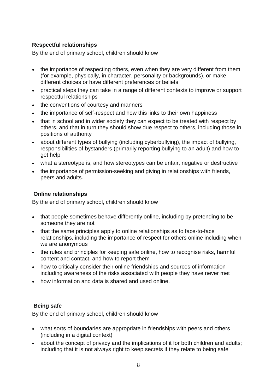# **Respectful relationships**

By the end of primary school, children should know

- the importance of respecting others, even when they are very different from them (for example, physically, in character, personality or backgrounds), or make different choices or have different preferences or beliefs
- practical steps they can take in a range of different contexts to improve or support respectful relationships
- the conventions of courtesy and manners
- the importance of self-respect and how this links to their own happiness
- that in school and in wider society they can expect to be treated with respect by others, and that in turn they should show due respect to others, including those in positions of authority
- about different types of bullying (including cyberbullying), the impact of bullying, responsibilities of bystanders (primarily reporting bullying to an adult) and how to get help
- what a stereotype is, and how stereotypes can be unfair, negative or destructive
- the importance of permission-seeking and giving in relationships with friends, peers and adults.

# **Online relationships**

By the end of primary school, children should know

- that people sometimes behave differently online, including by pretending to be someone they are not
- that the same principles apply to online relationships as to face-to-face relationships, including the importance of respect for others online including when we are anonymous
- the rules and principles for keeping safe online, how to recognise risks, harmful content and contact, and how to report them
- how to critically consider their online friendships and sources of information including awareness of the risks associated with people they have never met
- how information and data is shared and used online.

# **Being safe**

By the end of primary school, children should know

- what sorts of boundaries are appropriate in friendships with peers and others (including in a digital context)
- about the concept of privacy and the implications of it for both children and adults; including that it is not always right to keep secrets if they relate to being safe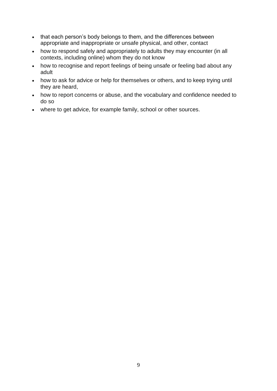- that each person's body belongs to them, and the differences between appropriate and inappropriate or unsafe physical, and other, contact
- how to respond safely and appropriately to adults they may encounter (in all contexts, including online) whom they do not know
- how to recognise and report feelings of being unsafe or feeling bad about any adult
- how to ask for advice or help for themselves or others, and to keep trying until they are heard,
- how to report concerns or abuse, and the vocabulary and confidence needed to do so
- where to get advice, for example family, school or other sources.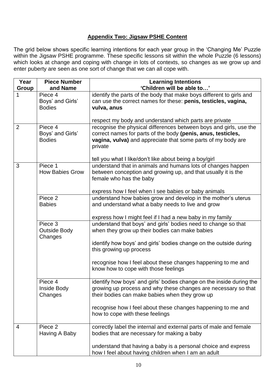# **Appendix Two: Jigsaw PSHE Content**

The grid below shows specific learning intentions for each year group in the 'Changing Me' Puzzle within the Jigsaw PSHE programme. These specific lessons sit within the whole Puzzle (6 lessons) which looks at change and coping with change in lots of contexts, so changes as we grow up and enter puberty are seen as one sort of change that we can all cope with.

| Year           | <b>Piece Number</b><br>and Name | <b>Learning Intentions</b><br>'Children will be able to'                                                              |
|----------------|---------------------------------|-----------------------------------------------------------------------------------------------------------------------|
| Group          | Piece 4                         | identify the parts of the body that make boys different to girls and                                                  |
|                | Boys' and Girls'                | can use the correct names for these: penis, testicles, vagina,                                                        |
|                | <b>Bodies</b>                   | vulva, anus                                                                                                           |
|                |                                 |                                                                                                                       |
|                |                                 | respect my body and understand which parts are private                                                                |
| 2              | Piece 4                         | recognise the physical differences between boys and girls, use the                                                    |
|                | Boys' and Girls'                | correct names for parts of the body (penis, anus, testicles,                                                          |
|                | <b>Bodies</b>                   | vagina, vulva) and appreciate that some parts of my body are<br>private                                               |
|                |                                 | tell you what I like/don't like about being a boy/girl                                                                |
| 3              | Piece 1                         | understand that in animals and humans lots of changes happen                                                          |
|                | <b>How Babies Grow</b>          | between conception and growing up, and that usually it is the<br>female who has the baby                              |
|                |                                 | express how I feel when I see babies or baby animals                                                                  |
|                | Piece 2                         | understand how babies grow and develop in the mother's uterus                                                         |
|                | <b>Babies</b>                   | and understand what a baby needs to live and grow                                                                     |
|                |                                 | express how I might feel if I had a new baby in my family                                                             |
|                | Piece 3                         | understand that boys' and girls' bodies need to change so that                                                        |
|                | <b>Outside Body</b><br>Changes  | when they grow up their bodies can make babies                                                                        |
|                |                                 | identify how boys' and girls' bodies change on the outside during<br>this growing up process                          |
|                |                                 | recognise how I feel about these changes happening to me and<br>know how to cope with those feelings                  |
|                | Piece 4                         | identify how boys' and girls' bodies change on the inside during the                                                  |
|                | Inside Body                     | growing up process and why these changes are necessary so that                                                        |
|                | Changes                         | their bodies can make babies when they grow up                                                                        |
|                |                                 | recognise how I feel about these changes happening to me and                                                          |
|                |                                 | how to cope with these feelings                                                                                       |
| $\overline{4}$ | Piece 2                         | correctly label the internal and external parts of male and female                                                    |
|                | Having A Baby                   | bodies that are necessary for making a baby                                                                           |
|                |                                 | understand that having a baby is a personal choice and express<br>how I feel about having children when I am an adult |